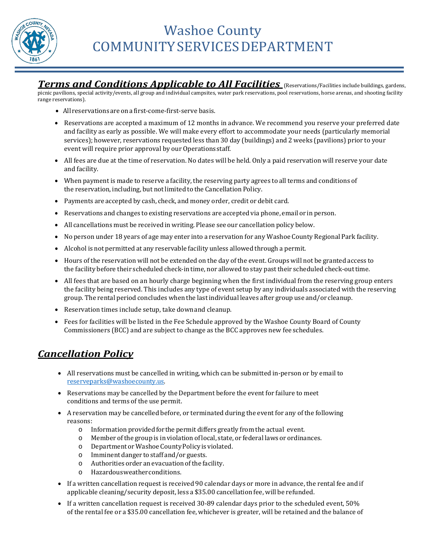

# Washoe County COMMUNITYSERVICESDEPARTMENT

*Terms and Conditions Applicable to All Facilities* (Reservations/Facilities include buildings, gardens,

picnic pavilions, special activity/events, all group and individual campsites, water park reservations, pool reservations, horse arenas, and shooting facility range reservations).

- All reservations areona first-come-first-serve basis.
- Reservations are accepted a maximum of 12 months in advance. We recommend you reserve your preferred date and facility as early as possible. We will make every effort to accommodate your needs (particularly memorial services); however, reservations requested less than 30 day (buildings) and 2 weeks (pavilions) prior to your event will require prior approval by our Operationsstaff.
- All fees are due at the time of reservation. No dates will be held. Only a paid reservation will reserve your date and facility.
- When payment is made to reserve a facility, the reserving party agrees to all terms and conditions of the reservation, including, but not limited to the Cancellation Policy.
- Payments are accepted by cash, check, and money order, credit or debit card.
- Reservations and changes to existing reservations are accepted via phone, email or in person.
- All cancellations must be received in writing. Please see our cancellation policy below.
- No person under 18 years of age may enter into a reservation for any Washoe County Regional Park facility.
- Alcohol is not permitted at any reservable facility unless allowed through a permit.
- Hours of the reservation will not be extended on the day ofthe event. Groups will not be granted access to the facility before their scheduled check-in time, nor allowed to stay pasttheir scheduled check-outtime.
- All fees that are based on an hourly charge beginning when the first individual from the reserving group enters the facility being reserved. This includes any type of event setup by any individuals associated with the reserving group. The rental period concludes when the lastindividual leaves after group use and/or cleanup.
- Reservation times include setup, take downand cleanup.
- Fees for facilities will be listed in the Fee Schedule approved by the Washoe County Board of County Commissioners (BCC) and are subject to change as the BCC approves new fee schedules.

### *Cancellation Policy*

- All reservations must be cancelled in writing, which can be submitted in-person or by email to [reserveparks@washoecounty.us.](mailto:reserveparks@washoecounty.us)
- Reservations may be cancelled by the Department before the event for failure to meet conditions and terms of the use permit.
- A reservation may be cancelled before, or terminated during the event for any of the following reasons:<br>0 l
	- Information provided for the permit differs greatly from the actual event.
	- o Member ofthe group is in violation of local, state, or federal laws or ordinances.
	- o Department orWashoe CountyPolicy is violated.
	- o Imminent danger to staff and/or guests.
	- o Authorities order an evacuation ofthe facility.
	- o Hazardousweatherconditions.
- If a written cancellation request is received 90 calendar days or more in advance, the rental fee and if applicable cleaning/security deposit, less a \$35.00 cancellation fee, will be refunded.
- If a written cancellation request is received 30-89 calendar days prior to the scheduled event, 50% of the rental fee or a \$35.00 cancellation fee, whichever is greater, will be retained and the balance of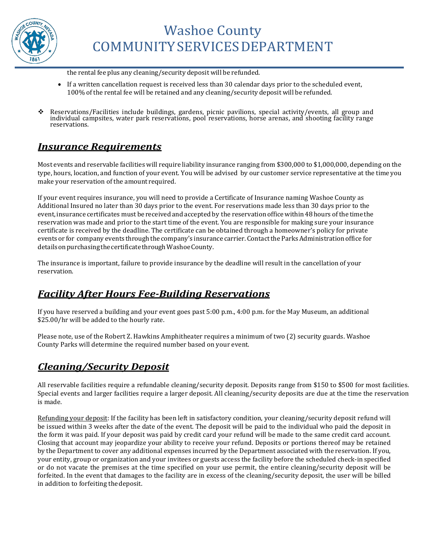

the rental fee plus any cleaning/security deposit will be refunded.

- If a written cancellation request is received less than 30 calendar days prior to the scheduled event, 100% of the rental fee will be retained and any cleaning/security deposit will be refunded.
- Reservations/Facilities include buildings, gardens, picnic pavilions, special activity/events, all group and individual campsites, water park reservations, pool reservations, horse arenas, and shooting facility range reservations.

### *Insurance Requirements*

Most events and reservable facilities will require liability insurance ranging from \$300,000 to \$1,000,000, depending on the type, hours, location, and function of your event. You will be advised by our customer service representative at the time you make your reservation of the amount required.

If your event requires insurance, you will need to provide a Certificate of Insurance naming Washoe County as Additional Insured no later than 30 days prior to the event. For reservations made less than 30 days prior to the event, insurance certificates must be received and accepted by the reservation office within 48 hours of the time the reservation was made and prior to the start time of the event. You are responsible for making sure your insurance certificate is received by the deadline. The certificate can be obtained through a homeowner's policy for private events or for company events through the company's insurance carrier. Contactthe ParksAdministration office for details on purchasing the certificate through Washoe County.

The insurance is important, failure to provide insurance by the deadline will result in the cancellation of your reservation.

## *Facility After Hours Fee-Building Reservations*

If you have reserved a building and your event goes past 5:00 p.m., 4:00 p.m. for the May Museum, an additional \$25.00/hr will be added to the hourly rate.

Please note, use of the Robert Z. Hawkins Amphitheater requires a minimum of two (2) security guards. Washoe County Parks will determine the required number based on your event.

## *Cleaning/Security Deposit*

All reservable facilities require a refundable cleaning/security deposit. Deposits range from \$150 to \$500 for most facilities. Special events and larger facilities require a larger deposit. All cleaning/security deposits are due at the time the reservation is made.

Refunding your deposit: If the facility has been left in satisfactory condition, your cleaning/security deposit refund will be issued within 3 weeks after the date of the event. The deposit will be paid to the individual who paid the deposit in the form it was paid. If your deposit was paid by credit card your refund will be made to the same credit card account. Closing that account may jeopardize your ability to receive your refund. Deposits or portions thereof may be retained by the Department to cover any additional expenses incurred by the Department associated with the reservation. If you, your entity, group or organization and your invitees or guests access the facility before the scheduled check-in specified or do not vacate the premises at the time specified on your use permit, the entire cleaning/security deposit will be forfeited. In the event that damages to the facility are in excess of the cleaning/security deposit, the user will be billed in addition to forfeiting thedeposit.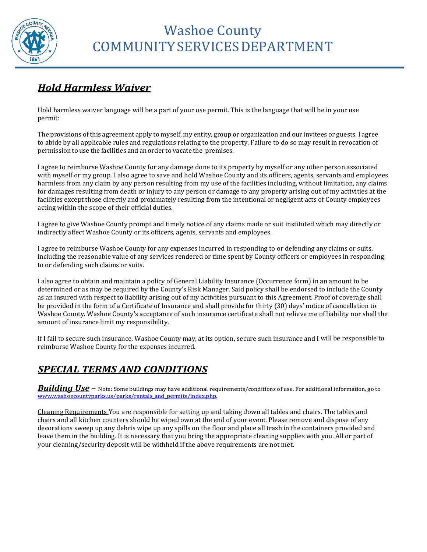

# *Hold Harmless Waiver*

Hold harmless waiver language will be a part of your use permit. This is the language that will be in your use permit:

The provisions of this agreement apply to myself, my entity, group or organization and our invitees or guests. I agree to abide by all applicable rules and regulations relating to the property. Failure to do so may result in revocation of permission to use the facilities and an order to vacate the premises.

I agree to reimburse Washoe County for any damage done to its property by myself or any other person associated with myself or my group. I also agree to save and hold Washoe County and its officers, agents, servants and employees harmless from any claim by any person resulting from my use of the facilities including, without limitation, any claims for damages resulting from death or injury to any person or damage to any property arising out of my activities at the facilities except those directly and proximately resulting from the intentional or negligent acts of County employees acting within the scope of their official duties.

I agree to give Washoe County prompt and timely notice of any claims made or suit instituted which may directly or indirectly affect Washoe County or its officers, agents, servants and employees.

I agree to reimburse Washoe County for any expenses incurred in responding to or defending any claims or suits, including the reasonable value of any services rendered or time spent by County officers or employees in responding to or defending such claims or suits.

I also agree to obtain and maintain a policy of General Liability Insurance (Occurrence form) in an amount to be determined or as may be required by the County's Risk Manager. Said policy shall be endorsed to include the County as an insured with respect to liability arising out of my activities pursuant to this Agreement. Proof of coverage shall be provided in the form of a Certificate of Insurance and shall provide for thirty (30) days' notice of cancellation to Washoe County. Washoe County's acceptance of such insurance certificate shall not relieve me of liability nor shall the amount of insurance limit my responsibility.

If I fail to secure such insurance, Washoe County may, at its option, secure such insurance and I will be responsible to reimburse Washoe County for the expenses incurred.

# *SPECIAL TERMS AND CONDITIONS*

*Building Use* – Note: Some buildings may have additional requirements/conditions of use. For additional information, go to [www.washoecountyparks.us/parks/rentals\\_and\\_permits/index.php.](http://www.washoecountyparks.us/parks/rentals_and_permits/index.php)

Cleaning Requirements You are responsible for setting up and taking down all tables and chairs. The tables and chairs and all kitchen counters should be wiped own at the end of your event. Please remove and dispose of any decorations sweep up any debris wipe up any spills on the floor and place all trash in the containers provided and leave them in the building. It is necessary that you bring the appropriate cleaning supplies with you. All or part of your cleaning/security deposit will be withheld if the above requirements are not met.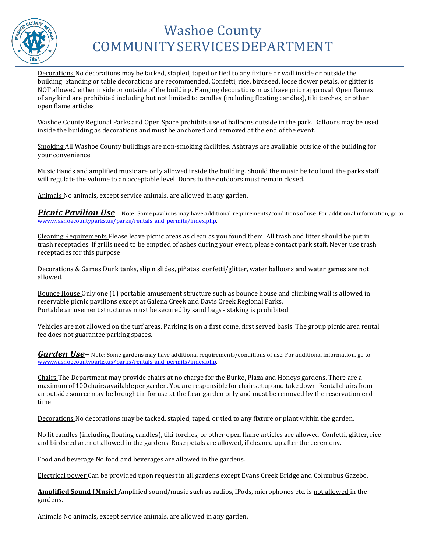

# Washoe County COMMUNITYSERVICESDEPARTMENT

Decorations No decorations may be tacked, stapled, taped or tied to any fixture or wall inside or outside the building. Standing or table decorations are recommended. Confetti, rice, birdseed, loose flower petals, or glitter is NOT allowed either inside or outside of the building. Hanging decorations must have prior approval. Open flames of any kind are prohibited including but not limited to candles (including floating candles), tiki torches, or other open flame articles.

Washoe County Regional Parks and Open Space prohibits use of balloons outside in the park. Balloons may be used inside the building as decorations and must be anchored and removed at the end of the event.

Smoking All Washoe County buildings are non-smoking facilities. Ashtrays are available outside of the building for your convenience.

Music Bands and amplified music are only allowed inside the building. Should the music be too loud, the parks staff will regulate the volume to an acceptable level. Doors to the outdoors must remain closed.

Animals No animals, except service animals, are allowed in any garden.

*Picnic Pavilion Use*– Note: Some pavilions may have additional requirements/conditions of use. For additional information, go to [www.washoecountyparks.us/parks/rentals\\_and\\_permits/index.php.](http://www.washoecountyparks.us/parks/rentals_and_permits/index.php)

Cleaning Requirements Please leave picnic areas as clean as you found them. All trash and litter should be put in trash receptacles. If grills need to be emptied of ashes during your event, please contact park staff. Never use trash receptacles for this purpose.

Decorations & Games Dunk tanks, slip n slides, piñatas, confetti/glitter, water balloons and water games are not allowed.

Bounce House Only one (1) portable amusement structure such as bounce house and climbing wall is allowed in reservable picnic pavilions except at Galena Creek and Davis Creek Regional Parks. Portable amusement structures must be secured by sand bags - staking is prohibited.

Vehicles are not allowed on the turf areas. Parking is on a first come, first served basis. The group picnic area rental fee does not guarantee parking spaces.

*Garden Use*– Note: Some gardens may have additional requirements/conditions of use. For additional information, go to [www.washoecountyparks.us/parks/rentals\\_and\\_permits/index.php.](http://www.washoecountyparks.us/parks/rentals_and_permits/index.php)

Chairs The Department may provide chairs at no charge for the Burke, Plaza and Honeys gardens. There are a maximum of 100 chairs available per garden. You are responsible for chair set up and take down. Rental chairs from an outside source may be brought in for use at the Lear garden only and must be removed by the reservation end time.

Decorations No decorations may be tacked, stapled, taped, or tied to any fixture or plant within the garden.

No lit candles (including floating candles), tiki torches, or other open flame articles are allowed. Confetti, glitter, rice and birdseed are not allowed in the gardens. Rose petals are allowed, if cleaned up after the ceremony.

Food and beverage No food and beverages are allowed in the gardens.

Electrical power Can be provided upon request in all gardens except Evans Creek Bridge and Columbus Gazebo.

**Amplified Sound (Music)** Amplified sound/music such as radios, IPods, microphones etc. is not allowed in the gardens.

Animals No animals, except service animals, are allowed in any garden.